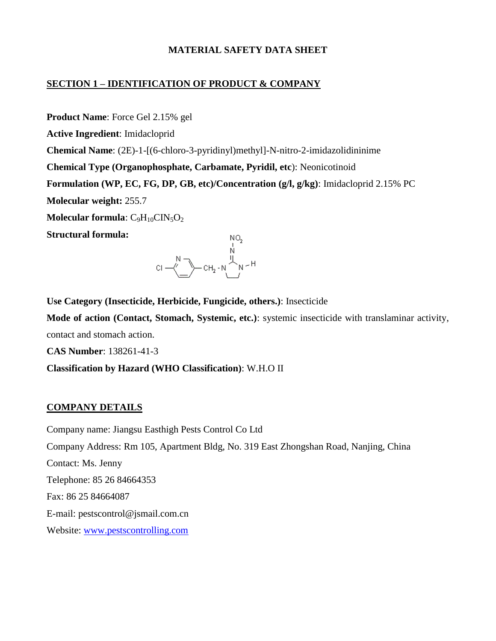#### **MATERIAL SAFETY DATA SHEET**

#### **SECTION 1 – IDENTIFICATION OF PRODUCT & COMPANY**

**Product Name**: Force Gel 2.15% gel **Active Ingredient**: Imidacloprid **Chemical Name**: (2E)-1-[(6-chloro-3-pyridinyl)methyl]-N-nitro-2-imidazolidininime **Chemical Type (Organophosphate, Carbamate, Pyridil, etc**): Neonicotinoid **Formulation (WP, EC, FG, DP, GB, etc)/Concentration (g/l, g/kg)**: Imidacloprid 2.15% PC **Molecular weight:** 255.7 **Molecular formula**: C<sub>9</sub>H<sub>10</sub>CIN<sub>5</sub>O<sub>2</sub> **Structural formula:**



**Use Category (Insecticide, Herbicide, Fungicide, others.)**: Insecticide **Mode of action (Contact, Stomach, Systemic, etc.)**: systemic insecticide with translaminar activity, contact and stomach action.

**CAS Number**: 138261-41-3

**Classification by Hazard (WHO Classification)**: W.H.O II

#### **COMPANY DETAILS**

Company name: Jiangsu Easthigh Pests Control Co Ltd Company Address: Rm 105, Apartment Bldg, No. 319 East Zhongshan Road, Nanjing, China Contact: Ms. Jenny Telephone: 85 26 84664353 Fax: 86 25 84664087 E-mail: pestscontrol@jsmail.com.cn Website: [www.pestscontrolling.com](http://www.pestscontrolling.com/)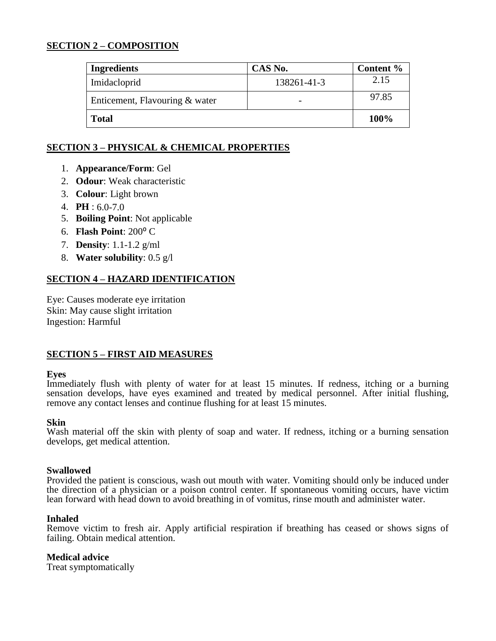#### **SECTION 2 – COMPOSITION**

| <b>Ingredients</b>             | CAS No.     | Content % |
|--------------------------------|-------------|-----------|
| Imidacloprid                   | 138261-41-3 | 2.15      |
| Enticement, Flavouring & water |             | 97.85     |
| <b>Total</b>                   |             | 100%      |

### **SECTION 3 – PHYSICAL & CHEMICAL PROPERTIES**

- 1. **Appearance/Form**: Gel
- 2. **Odour**: Weak characteristic
- 3. **Colour**: Light brown
- 4. **PH** : 6.0-7.0
- 5. **Boiling Point**: Not applicable
- 6. **Flash Point**: 200⁰ C
- 7. **Density**: 1.1-1.2 g/ml
- 8. **Water solubility**: 0.5 g/l

#### **SECTION 4 – HAZARD IDENTIFICATION**

Eye: Causes moderate eye irritation Skin: May cause slight irritation Ingestion: Harmful

#### **SECTION 5 – FIRST AID MEASURES**

#### **Eyes**

Immediately flush with plenty of water for at least 15 minutes. If redness, itching or a burning sensation develops, have eyes examined and treated by medical personnel. After initial flushing, remove any contact lenses and continue flushing for at least 15 minutes.

#### **Skin**

Wash material off the skin with plenty of soap and water. If redness, itching or a burning sensation develops, get medical attention.

#### **Swallowed**

Provided the patient is conscious, wash out mouth with water. Vomiting should only be induced under the direction of a physician or a poison control center. If spontaneous vomiting occurs, have victim lean forward with head down to avoid breathing in of vomitus, rinse mouth and administer water.

#### **Inhaled**

Remove victim to fresh air. Apply artificial respiration if breathing has ceased or shows signs of failing. Obtain medical attention.

#### **Medical advice**

Treat symptomatically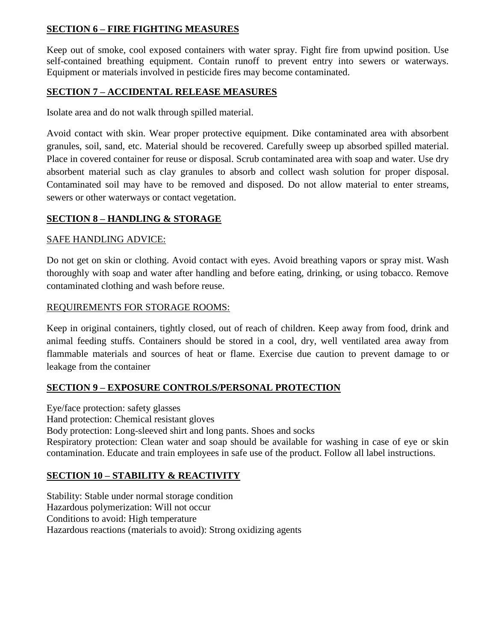### **SECTION 6 – FIRE FIGHTING MEASURES**

Keep out of smoke, cool exposed containers with water spray. Fight fire from upwind position. Use self-contained breathing equipment. Contain runoff to prevent entry into sewers or waterways. Equipment or materials involved in pesticide fires may become contaminated.

### **SECTION 7 – ACCIDENTAL RELEASE MEASURES**

Isolate area and do not walk through spilled material.

Avoid contact with skin. Wear proper protective equipment. Dike contaminated area with absorbent granules, soil, sand, etc. Material should be recovered. Carefully sweep up absorbed spilled material. Place in covered container for reuse or disposal. Scrub contaminated area with soap and water. Use dry absorbent material such as clay granules to absorb and collect wash solution for proper disposal. Contaminated soil may have to be removed and disposed. Do not allow material to enter streams, sewers or other waterways or contact vegetation.

### **SECTION 8 – HANDLING & STORAGE**

#### SAFE HANDLING ADVICE:

Do not get on skin or clothing. Avoid contact with eyes. Avoid breathing vapors or spray mist. Wash thoroughly with soap and water after handling and before eating, drinking, or using tobacco. Remove contaminated clothing and wash before reuse.

### REQUIREMENTS FOR STORAGE ROOMS:

Keep in original containers, tightly closed, out of reach of children. Keep away from food, drink and animal feeding stuffs. Containers should be stored in a cool, dry, well ventilated area away from flammable materials and sources of heat or flame. Exercise due caution to prevent damage to or leakage from the container

#### **SECTION 9 – EXPOSURE CONTROLS/PERSONAL PROTECTION**

Eye/face protection: safety glasses Hand protection: Chemical resistant gloves Body protection: Long-sleeved shirt and long pants. Shoes and socks Respiratory protection: Clean water and soap should be available for washing in case of eye or skin contamination. Educate and train employees in safe use of the product. Follow all label instructions.

## **SECTION 10 – STABILITY & REACTIVITY**

Stability: Stable under normal storage condition Hazardous polymerization: Will not occur Conditions to avoid: High temperature Hazardous reactions (materials to avoid): Strong oxidizing agents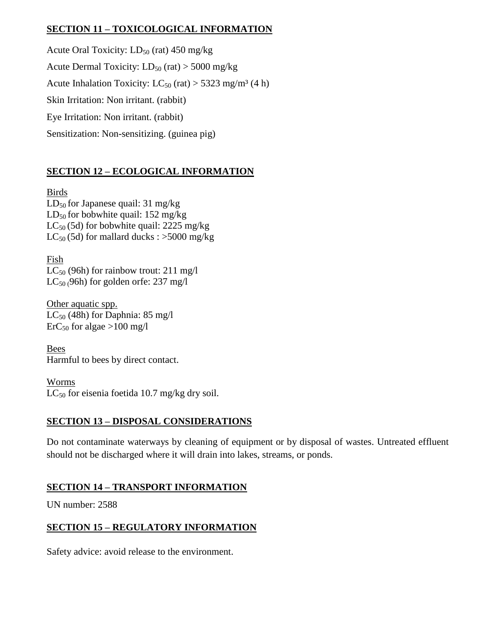## **SECTION 11 – TOXICOLOGICAL INFORMATION**

Acute Oral Toxicity:  $LD_{50}$  (rat) 450 mg/kg Acute Dermal Toxicity:  $LD_{50}$  (rat) > 5000 mg/kg Acute Inhalation Toxicity:  $LC_{50}$  (rat) > 5323 mg/m<sup>3</sup> (4 h) Skin Irritation: Non irritant. (rabbit) Eye Irritation: Non irritant. (rabbit) Sensitization: Non-sensitizing. (guinea pig)

# **SECTION 12 – ECOLOGICAL INFORMATION**

Birds  $LD_{50}$  for Japanese quail: 31 mg/kg  $LD_{50}$  for bobwhite quail: 152 mg/kg  $LC_{50}$  (5d) for bobwhite quail: 2225 mg/kg  $LC_{50}$  (5d) for mallard ducks : >5000 mg/kg

Fish  $LC_{50}$  (96h) for rainbow trout: 211 mg/l  $LC_{50}$  (96h) for golden orfe: 237 mg/l

Other aquatic spp.  $LC_{50}$  (48h) for Daphnia: 85 mg/l  $\text{ErC}_{50}$  for algae >100 mg/l

Bees Harmful to bees by direct contact.

Worms  $LC_{50}$  for eisenia foetida 10.7 mg/kg dry soil.

## **SECTION 13 – DISPOSAL CONSIDERATIONS**

Do not contaminate waterways by cleaning of equipment or by disposal of wastes. Untreated effluent should not be discharged where it will drain into lakes, streams, or ponds.

## **SECTION 14 – TRANSPORT INFORMATION**

UN number: 2588

# **SECTION 15 – REGULATORY INFORMATION**

Safety advice: avoid release to the environment.